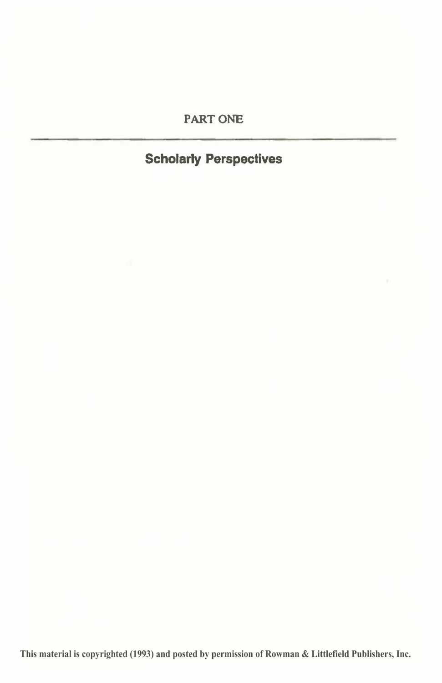## PART ONE

# **Scholarly Perspectives**

**This material is copyrighted (1993) and posted by permission of Rowman & Littlefield Publishers, Inc.**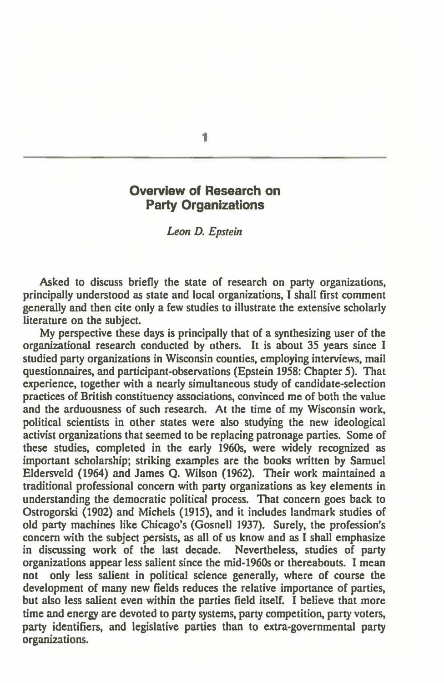## **Overview of Research on Party Organizations**

### *Leon D. Epstein*

**Asked to discuss briefly the state of research on party organizations, principally understood as state and local organizations, I shall first comment generally and then cite only a few studies to illustrate the extensive scholarly literature on the subject.** 

**My perspective these days is principally that of a synthesizing user of the organizational research conducted by others. It is about 35 years since I studied party organizations in Wisconsin counties, employing interviews, mail questionnaires, and participant-observations (Epstein 1958: Chapter 5). That experience, together with a nearly simultaneous study of candidate-selection practices of British constituency associations, convinced me of both the value and the arduousness of such research. At the time of my Wisconsin work, political scientists in other states were also studying the new ideological activist organizations that seemed to be replacing patronage parties. Some of these studies, completed in the early 1960s, were widely recognized as important scholarship; striking examples are the books written by Samuel Eldersveld (1964) and James Q. Wilson (1962). Their work maintained a traditional professional concern with party organizations as key elements in understanding the democratic political process. That concern goes back to Ostrogorski (1902) and Michels (1915), and it includes landmark studies of old party machines like Chicago's (Gosnell 1937). Surely, the profession's concern with the subject persists, as all of us know and as I shall emphasize in discussing work of the last decade. Nevertheless, studies of party organizations appear less salient since the mid-1960s or thereabouts. I mean**  only less salient in political science generally, where of course the **development of many new fields reduces the relative importance of parties, but also less salient even within the parties field itself. I believe that more time and energy are devoted to party systems, party competition, party voters, party identifiers, and legislative parties than to extra-governmental party organizations.** 

**1**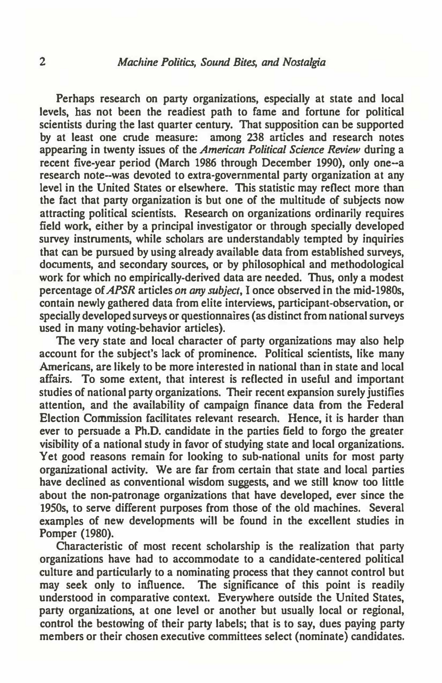Perhaps research on party organizations, especially at state and local **levels, bas not been the readiest path to fame and fortune for political scientists during the last quarter century. That supposition can be supported by at least one crude measure: among 238 articles and research notes appearing in twenty issues of the** *American Political Science Review* **during a recent five-year period (March 1986 through December 1990), only one-a research note-was devoted to extra-governmental party organization at any level in the United States or elsewhere. This statistic may reflect more than the fact that party organization is but one of the multitude of subjects now attracting political scientists. Research on organizations ordinarily requires field work, either by a principal investigator or through specially developed survey instruments, while scholars are understandably tempted by inquiries that can be pursued by using already available data from established surveys, documents, and secondary sources, or by philosophical and methodological work for which no empirically-derived data are needed. Thus, only a modest percentage** *ofAPSR* **articles on any** *subject,* **I once observed in the mid-1980s, contain newly gathered data from elite interviews, participant-observation, or specially developed surveys or questionnaires (as distinct from national surveys used in many voting-behavior articles).** 

**The very state and local character of party organizations may also help account for the subject's lack of prominence. Political scientists, like many Americans, are likely to be more interested in national than in state and local affairs. To some extent, that interest is reflected in useful and important studies of national party organizations. Their recent expansion surely justifies attention, and the availability of campaign finance data from the Federal Election Commission facilitates relevant research. Hence, it is harder than ever to persuade a Ph.D. candidate in the parties field to forgo the greater visibility of a national study in favor of studying state and local organizations. Yet good reasons remain for looking to sub-national units for most party organizational activity. We are far from certain that state and local parties have declined as conventional wisdom suggests, and we still know too little about the non-patronage organizations that have developed, ever since the 1950s, to serve different purposes from those of the old machines. Several examples of new developments will be found in the excellent studies in Pomper (1980).** 

**Characteristic of most recent scholarship is the realization that party organizations have had to accommodate to a candidate-centered political culture and particularly to a nominating process that they cannot control but may seek only to influence. The significance of this point is readily understood in comparative context. Everywhere outside the United States, party organizations, at one level or another but usually local or regional, control the bestowing of their party labels; that is to say, dues paying party members or their chosen executive committees select (nominate) candidates.**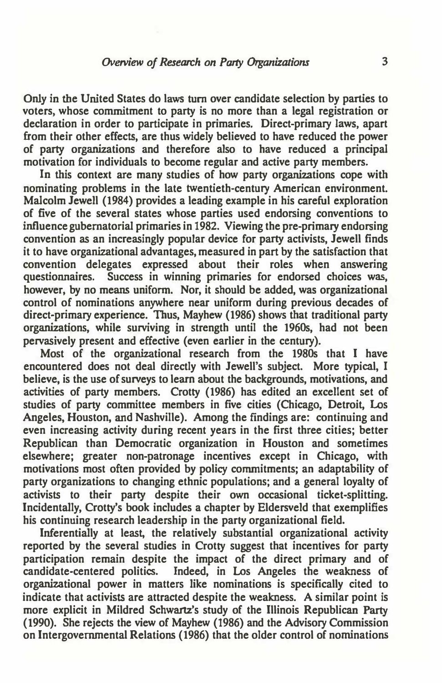**Only in the United States do laws tum over candidate selection by parties to voters, whose commitment to party is no more than a legal registration or declaration in order to participate in primaries. Direct-primary laws, apart from their other effects, are thus widely believed to have reduced the power of party organizations and therefore also to have reduced a principal motivation for individuals to become regular and active party members.** 

**In this context are many studies of how party organizations cope with nominating problems in the late twentieth-century American environment. Malcolm Jewell (1984) provides a leading example in his careful exploration of five of the several states whose parties used endorsing conventions to influence gubernatorial primaries in 1982. Viewing the pre-primary endorsing convention as an increasingly popular device for party activists, Jewell finds it to have organizational advantages, measured in part by the satisfaction that convention delegates expressed about their roles when answering questionnaires. Success in winning primaries for endorsed choices was, however, by no means uniform. Nor, it should be added, was organizational control of nominations anywhere near uniform during previous decades of direct-primary experience. Thus, Mayhew (1986) shows that traditional party organizations, while surviving in strength until the 1960s, had not been pervasively present and effective (even earlier in the century).** 

**Most of the organizational research from the 1980s that I have encountered does not deal directly with Jewell's subject. More typical, I believe, is the use of surveys to learn about the backgrounds, motivations, and activities of party members. Crotty (1986) has edited an exceJient set of studies of party committee members in five cities (Chicago, Detroit, Los Angeles. Houston, and Nashville). Among the findings are: continuing and even increasing activity during recent years in the first three cities; better Republican than Democratic organization in Houston and sometimes elsewhere; greater non-patronage incentives except in Chicago, with motivations most often provided by policy commitments; an adaptability of party organizations to changing ethnic populations; and a general loyalty of activists to their party despite their own occasional ticket-splitting. Incidentally, Crotty's book includes a chapter by Eldersveld that exemplifies his continuing research leadership in the party organizational field.** 

**Inferentially at least, the relatively substantial organizational activity reported by the several studies in Crotty suggest that incentives for party participation remain despite the impact of the direct primary and of candidate-centered politics. Indeed, in Los Angeles the weakness of organizational power in matters like nominations is specifically cited to indicate that activists are attracted despite the weakness. A similar point is more explicit in Mildred Schwartz's study of the Illinois Republican Party (1990). She rejects the view of Mayhew (1986) and the Advisory Commission on Intergovernmental Relations (1986) that the older control of nominations**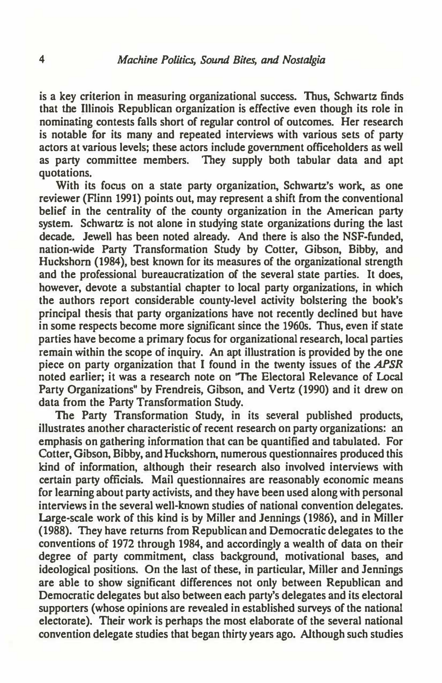**is a key criterion in measuring organizational success. Thus, Schwartz finds that the Illinois Republican organization is effective even though its role in nominating contests falls short of regular control of outcomes. Her research is notable for its many and repeated interviews with various sets of party actors at various levels; these actors include government officeholders as well as party committee members. They supply both tabular data and apt quotations.** 

**With its focus on a state party organization, Schwartz's work, as one reviewer (Flinn 1991) points out, may represent a shift from the conventional belief in the centrality of the county organization in the American party system. Schwartz is not alone in studying state organizations during the last decade. Jewell has been noted already. And there is also the NSF-funded, nation-wide Party Transformation Study by Cotter, Gibson, Bibby, and Huckshom (1984), best known for its measures of the organizational strength and the professional bureaucratization of the several state parties. It does, however, devote a substantial chapter to local party organizations, in which the authors report considerable county-level activity bolstering the book's principal thesis that party organizations have not recently declined but have in some respects become more significant since the 1960s. Thus, even if state parties have become a primary focus for organizational research, local parties remain within the scope of inquiry. An apt illustration is provided by the one piece on party organization that I found in the twenty issues of the** *APSR* **noted earlier; it was a research note on 'The Electoral Relevance of Local Party Organizations" by Frendreis, Gibson, and Vertz (1990) and it drew on data from the Party Transformation Study.** 

**The Party Transformation Study, in its several published products, illustrates another characteristic of recent research on party organizations: an emphasis on gathering information that can be quantified and tabulated. For Cotter, Gibson, Bibby, and Huckshom. numerous questionnaires produced this kind of information, although their research also involved interviews with certain party officials. Mail questionnaires are reasonably economic means for learning about party activists, and they have been used along with personal interviews in the several well-known studies of national convention delegates. Large-scale work of this kind is by Miller and Jennings (1986), and in Miller (1988). They have returns from Republican and Democratic delegates to the conventions of 1972 through 1984, and accordingly a wealth of data on their degree of party commitment, class background, motivational bases, and ideological positions. On the last of these, in particular, Miller and Jennings are able to show significant differences not only between Republican and Democratic delegates but also between each party's delegates and its electoral supporters (whose opinions are revealed in established surveys of the national electorate). Their work is perhaps the most elaborate of the several national convention delegate studies that began thirty years ago. Although such studies**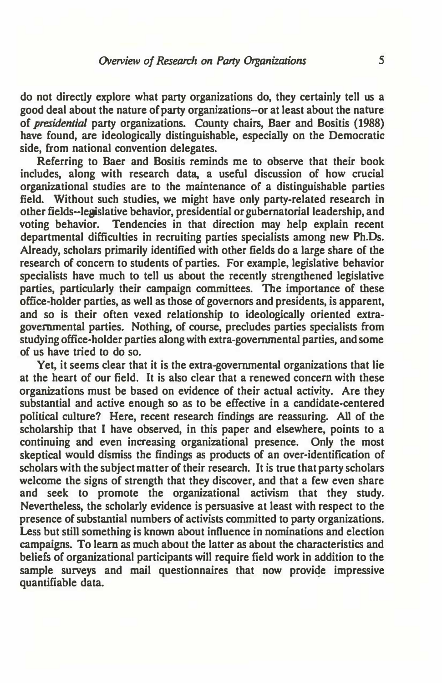**do not directly explore what party organizations do, they certainly tell us a good deal about the nature of party organizations-or at least about the nature of** *presidential* **party organizations. County chairs, Baer and Bositis (1988) have found, arc ideologically distinguishable, especially on the Democratic side, from national convention delegates.** 

**Referring to Baer and Bositis reminds me to observe that their book includes, along with research data, a useful discussion of how crucial organizational studies are to the maintenance of a distinguishable parties field. Without such studies, we might have only party-related research in other fields-legislative behavior, presidential or gubernatorial leadership, and voting behavior. Tendencies in that direction may help explain recent departmental difficulties in recruiting parties specialists among new Ph.Os. Already, scholars primarily identified with other fields do a large share of the research of concern to students of parties. For example, legislative behavior specialists have much to tell us about the recently strengthened legislative parties, particularly their campaign committees. The importance of these office-bolder parties, as well as those of governors and presidents, is apparent, and so is their often vexed relationship to ideologically oriented extragovernmental parties. Nothing, of course, precludes parties specialists from studying office-holder parties along with extra-governmental parties, and some of us have tried to do so.** 

**Yet, it seems clear that it is the extra-governmental organizations that lie at the heart of our field. It is also clear that a renewed concern with these organizations must be based on evidence of their actual activity. Arc they substantial and active enough so as to be effective in a candidate-centered political culture? Here, recent research findings arc reassuring. All of the scholarship that I have observed, in this paper and elsewhere, points to a continuing and even increasing organizational presence. Only the most skeptical would dismiss the findings as products of an over-identification of scholars with the subject matter of their research. It is true that party scholars welcome the signs of strength that they discover, and that a few even share and seek to promote the organizational activism that they study. Nevertheless, the scholarly evidence is persuasive at least with respect to the presence of substantial numbers of activists committed to party organizations. Less but still something is known about influence in nominations and election campaigns. To learn as much about the latter as about the characteristics and beliefs of organizational participants will require field work in addition to the**  sample surveys and mail questionnaires that now provide impressive **quantifiable data.**